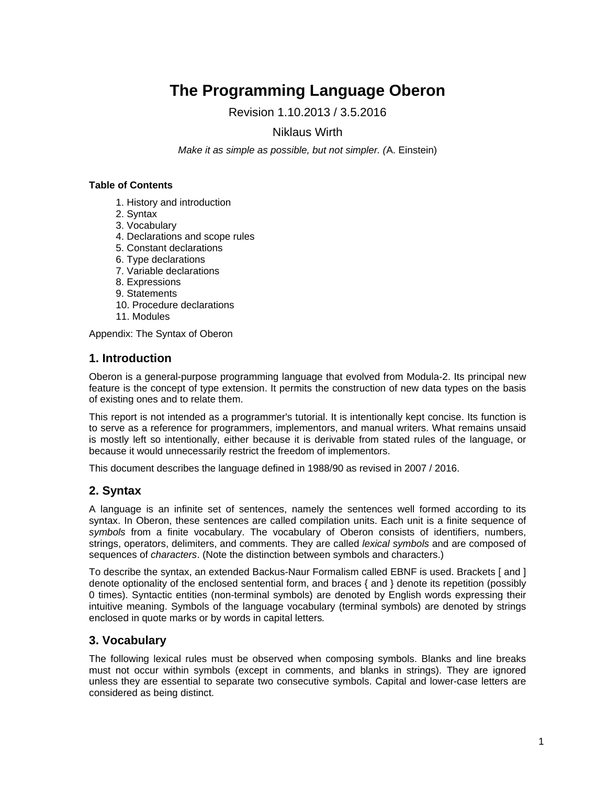# **The Programming Language Oberon**

Revision 1.10.2013 / 3.5.2016

# Niklaus Wirth

*Make it as simple as possible, but not simpler. (*A. Einstein)

## **Table of Contents**

- 1. History and introduction
- 2. Syntax
- 3. Vocabulary
- 4. Declarations and scope rules
- 5. Constant declarations
- 6. Type declarations
- 7. Variable declarations
- 8. Expressions
- 9. Statements
- 10. Procedure declarations
- 11. Modules

Appendix: The Syntax of Oberon

# **1. Introduction**

Oberon is a general-purpose programming language that evolved from Modula-2. Its principal new feature is the concept of type extension. It permits the construction of new data types on the basis of existing ones and to relate them.

This report is not intended as a programmer's tutorial. It is intentionally kept concise. Its function is to serve as a reference for programmers, implementors, and manual writers. What remains unsaid is mostly left so intentionally, either because it is derivable from stated rules of the language, or because it would unnecessarily restrict the freedom of implementors.

This document describes the language defined in 1988/90 as revised in 2007 / 2016.

# **2. Syntax**

A language is an infinite set of sentences, namely the sentences well formed according to its syntax. In Oberon, these sentences are called compilation units. Each unit is a finite sequence of *symbols* from a finite vocabulary. The vocabulary of Oberon consists of identifiers, numbers, strings, operators, delimiters, and comments. They are called *lexical symbols* and are composed of sequences of *characters*. (Note the distinction between symbols and characters.)

To describe the syntax, an extended Backus-Naur Formalism called EBNF is used. Brackets [ and ] denote optionality of the enclosed sentential form, and braces { and } denote its repetition (possibly 0 times). Syntactic entities (non-terminal symbols) are denoted by English words expressing their intuitive meaning. Symbols of the language vocabulary (terminal symbols) are denoted by strings enclosed in quote marks or by words in capital letters*.*

# **3. Vocabulary**

The following lexical rules must be observed when composing symbols. Blanks and line breaks must not occur within symbols (except in comments, and blanks in strings). They are ignored unless they are essential to separate two consecutive symbols. Capital and lower-case letters are considered as being distinct.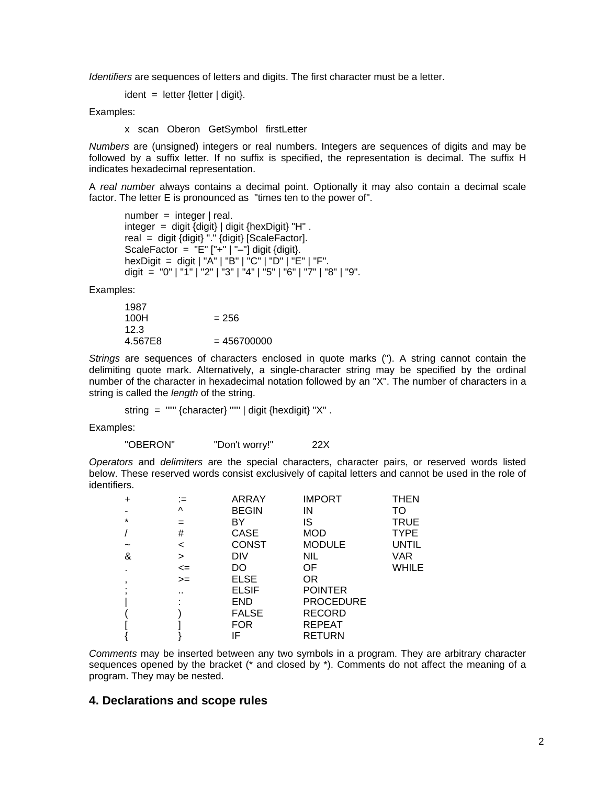*Identifiers* are sequences of letters and digits. The first character must be a letter.

 $ident = letter$  {letter | digit}.

Examples:

x scan Oberon GetSymbol firstLetter

*Numbers* are (unsigned) integers or real numbers. Integers are sequences of digits and may be followed by a suffix letter. If no suffix is specified, the representation is decimal. The suffix H indicates hexadecimal representation.

A *real number* always contains a decimal point. Optionally it may also contain a decimal scale factor. The letter E is pronounced as "times ten to the power of".

 $number = integer | real.$ integer = digit  $\{$ digit $\}$  | digit  $\{$ hexDigit $\}$  "H". real = digit  $\{digit\}$  "."  $\{digit\}$  [ScaleFactor]. ScaleFactor =  $"E"$   $["+"$   $"-"$ ] digit {digit}. hexDigit = digit | "A" | "B" | "C" | "D" | "E" | "F". digit = "0" | "1" | "2" | "3" | "4" | "5" | "6" | "7" | "8" | "9".

Examples:

| 1987    |               |
|---------|---------------|
| 100H    | $= 256$       |
| 12.3    |               |
| 4.567E8 | $= 456700000$ |

*Strings* are sequences of characters enclosed in quote marks ("). A string cannot contain the delimiting quote mark. Alternatively, a single-character string may be specified by the ordinal number of the character in hexadecimal notation followed by an "X". The number of characters in a string is called the *length* of the string.

string =  $""$  {character} """ | digit {hexdigit} "X".

Examples:

"OBERON" "Don't worry!" 22X

*Operators* and *delimiters* are the special characters, character pairs, or reserved words listed below. These reserved words consist exclusively of capital letters and cannot be used in the role of identifiers.

| $\ddot{}$                | (=       | <b>ARRAY</b> | <b>IMPORT</b>    | <b>THEN</b>  |
|--------------------------|----------|--------------|------------------|--------------|
|                          | $\wedge$ | <b>BEGIN</b> | IN               | TO           |
| $\star$                  | =        | BY           | IS               | <b>TRUE</b>  |
|                          | #        | CASE         | MOD              | <b>TYPE</b>  |
|                          | <        | <b>CONST</b> | <b>MODULE</b>    | <b>UNTIL</b> |
| &                        | >        | DIV          | NIL              | <b>VAR</b>   |
| ٠                        | $\leq$   | DO           | 0F               | WHILE        |
| $\overline{\phantom{a}}$ | $>=$     | <b>ELSE</b>  | OR.              |              |
|                          |          | <b>ELSIF</b> | <b>POINTER</b>   |              |
|                          |          | <b>END</b>   | <b>PROCEDURE</b> |              |
|                          |          | <b>FALSE</b> | <b>RECORD</b>    |              |
|                          |          | <b>FOR</b>   | <b>REPEAT</b>    |              |
|                          |          | IF           | <b>RETURN</b>    |              |

*Comments* may be inserted between any two symbols in a program. They are arbitrary character sequences opened by the bracket  $(*$  and closed by  $*)$ . Comments do not affect the meaning of a program. They may be nested.

### **4. Declarations and scope rules**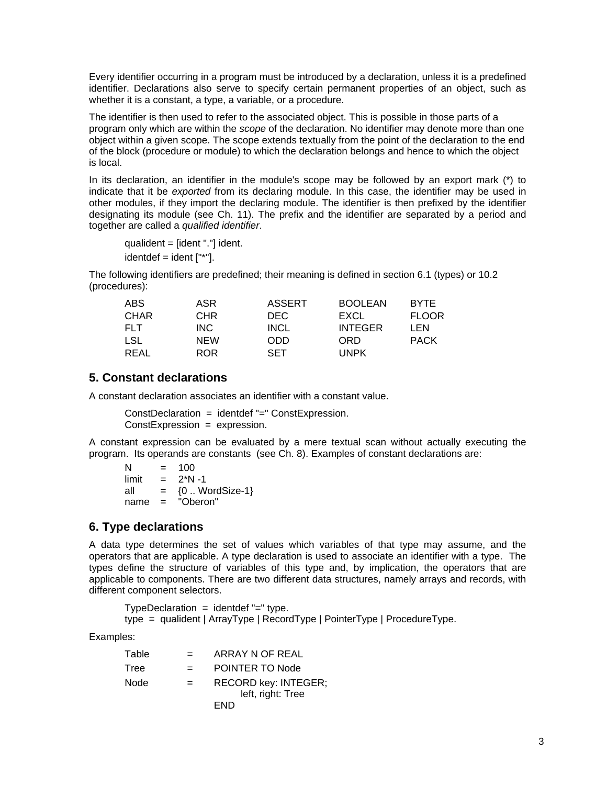Every identifier occurring in a program must be introduced by a declaration, unless it is a predefined identifier. Declarations also serve to specify certain permanent properties of an object, such as whether it is a constant, a type, a variable, or a procedure.

The identifier is then used to refer to the associated object. This is possible in those parts of a program only which are within the *scope* of the declaration. No identifier may denote more than one object within a given scope. The scope extends textually from the point of the declaration to the end of the block (procedure or module) to which the declaration belongs and hence to which the object is local.

In its declaration, an identifier in the module's scope may be followed by an export mark (\*) to indicate that it be *exported* from its declaring module. In this case, the identifier may be used in other modules, if they import the declaring module. The identifier is then prefixed by the identifier designating its module (see Ch. 11). The prefix and the identifier are separated by a period and together are called a *qualified identifier*.

 qualident = [ident "."] ident.  $identdef = ident [""].$ 

The following identifiers are predefined; their meaning is defined in section 6.1 (types) or 10.2 (procedures):

| ABS        | ASR        | <b>ASSERT</b> | <b>BOOLEAN</b> | <b>BYTE</b>  |
|------------|------------|---------------|----------------|--------------|
| CHAR       | CHR.       | DEC.          | EXCL           | <b>FLOOR</b> |
| <b>FLT</b> | INC.       | <b>INCL</b>   | <b>INTEGER</b> | I FN         |
| LSL        | <b>NEW</b> | ODD           | ORD            | <b>PACK</b>  |
| REAL       | ROR        | <b>SFT</b>    | UNPK           |              |

# **5. Constant declarations**

A constant declaration associates an identifier with a constant value.

 ConstDeclaration = identdef "=" ConstExpression. ConstExpression = expression.

A constant expression can be evaluated by a mere textual scan without actually executing the program. Its operands are constants (see Ch. 8). Examples of constant declarations are:

 $N = 100$  $limit = 2*N-1$ all  $= \{0..$  WordSize-1} name = "Oberon"

# **6. Type declarations**

A data type determines the set of values which variables of that type may assume, and the operators that are applicable. A type declaration is used to associate an identifier with a type. The types define the structure of variables of this type and, by implication, the operators that are applicable to components. There are two different data structures, namely arrays and records, with different component selectors.

TypeDeclaration = identdef "=" type.

type = qualident | ArrayType | RecordType | PointerType | ProcedureType.

Examples:

| Table |          | ARRAY N OF REAL      |
|-------|----------|----------------------|
| Tree  | $\equiv$ | POINTER TO Node      |
| Node  | $=$      | RECORD key: INTEGER; |
|       |          | left, right: Tree    |
|       |          | FND                  |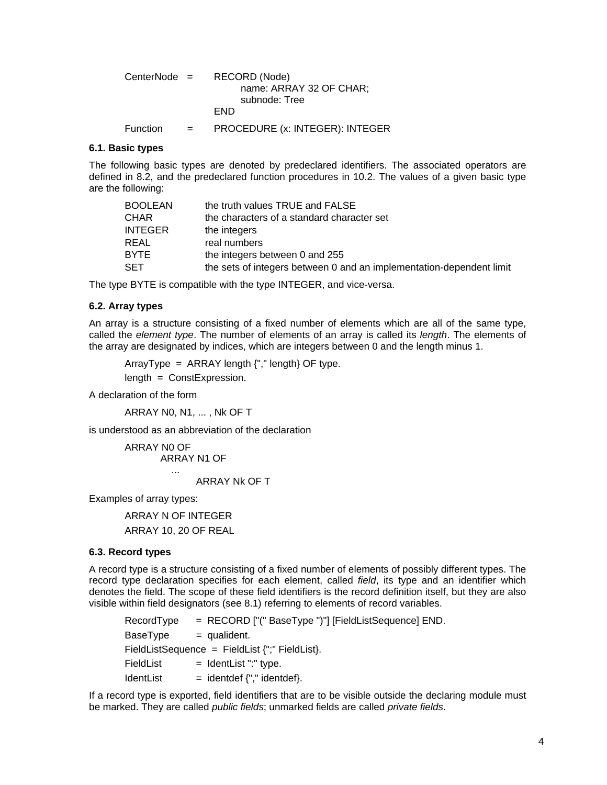| CenterNode = |     | RECORD (Node)                   |
|--------------|-----|---------------------------------|
|              |     | name: ARRAY 32 OF CHAR;         |
|              |     | subnode: Tree                   |
|              |     | FND.                            |
| Function     | $=$ | PROCEDURE (x: INTEGER): INTEGER |

#### **6.1. Basic types**

The following basic types are denoted by predeclared identifiers. The associated operators are defined in 8.2, and the predeclared function procedures in 10.2. The values of a given basic type are the following:

| BOOLEAN | the truth values TRUE and FALSE                                      |
|---------|----------------------------------------------------------------------|
| CHAR    | the characters of a standard character set                           |
| INTEGER | the integers                                                         |
| REAL    | real numbers                                                         |
| BYTE    | the integers between 0 and 255                                       |
| SET     | the sets of integers between 0 and an implementation-dependent limit |

The type BYTE is compatible with the type INTEGER, and vice-versa.

#### **6.2. Array types**

An array is a structure consisting of a fixed number of elements which are all of the same type, called the *element type*. The number of elements of an array is called its *length*. The elements of the array are designated by indices, which are integers between 0 and the length minus 1.

ArrayType =  $ARRAY$  length  $\{$ "," length $\}$  OF type.

length = ConstExpression.

A declaration of the form

ARRAY N0, N1, ... , Nk OF T

is understood as an abbreviation of the declaration

ARRAY N0 OF ARRAY N1 OF ...

#### ARRAY Nk OF T

Examples of array types:

ARRAY N OF INTEGER ARRAY 10, 20 OF REAL

#### **6.3. Record types**

A record type is a structure consisting of a fixed number of elements of possibly different types. The record type declaration specifies for each element, called *field*, its type and an identifier which denotes the field. The scope of these field identifiers is the record definition itself, but they are also visible within field designators (see 8.1) referring to elements of record variables.

RecordType = RECORD ["(" BaseType ")"] [FieldListSequence] END.  $BaseType = qualifieden.$  $FieldListSequence = FieldList$ ;" FieldList }.  $FieldList$  =  $IdentList$  ":" type.  $IdentList = identdef \, \{".\}$  identdef $\}$ .

If a record type is exported, field identifiers that are to be visible outside the declaring module must be marked. They are called *public fields*; unmarked fields are called *private fields*.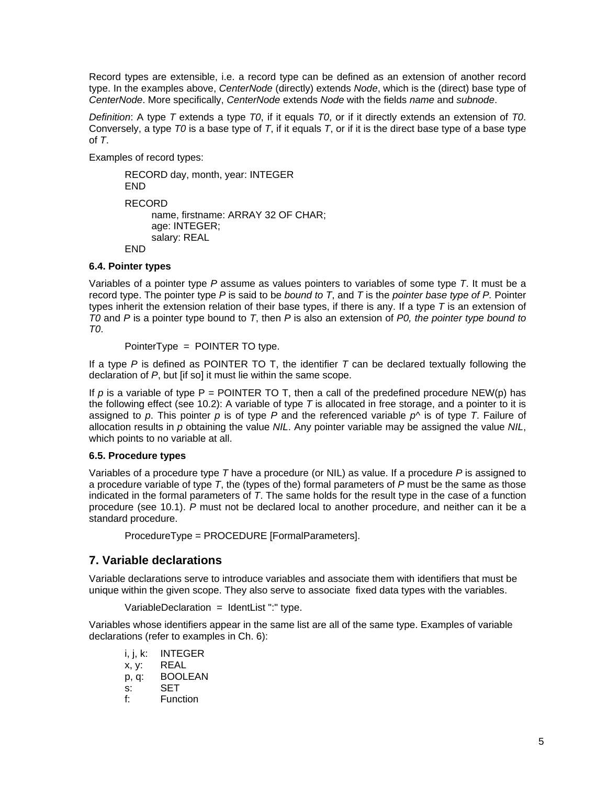Record types are extensible, i.e. a record type can be defined as an extension of another record type. In the examples above, *CenterNode* (directly) extends *Node*, which is the (direct) base type of *CenterNode*. More specifically, *CenterNode* extends *Node* with the fields *name* and *subnode*.

*Definition*: A type *T* extends a type *T0*, if it equals *T0*, or if it directly extends an extension of *T0*. Conversely, a type *T0* is a base type of *T*, if it equals *T*, or if it is the direct base type of a base type of *T*.

Examples of record types:

RECORD day, month, year: INTEGER END RECORD name, firstname: ARRAY 32 OF CHAR; age: INTEGER; salary: REAL END

# **6.4. Pointer types**

Variables of a pointer type *P* assume as values pointers to variables of some type *T*. It must be a record type. The pointer type *P* is said to be *bound to T*, and *T* is the *pointer base type of P.* Pointer types inherit the extension relation of their base types, if there is any. If a type *T* is an extension of *T0* and *P* is a pointer type bound to *T*, then *P* is also an extension of *P0, the pointer type bound to T0*.

PointerType = POINTER TO type.

If a type *P* is defined as POINTER TO T, the identifier *T* can be declared textually following the declaration of *P*, but [if so] it must lie within the same scope.

If  $p$  is a variable of type  $P =$  POINTER TO T, then a call of the predefined procedure NEW(p) has the following effect (see 10.2): A variable of type *T* is allocated in free storage, and a pointer to it is assigned to *p*. This pointer *p* is of type *P* and the referenced variable *p^* is of type *T*. Failure of allocation results in *p* obtaining the value *NIL*. Any pointer variable may be assigned the value *NIL*, which points to no variable at all.

# **6.5. Procedure types**

Variables of a procedure type *T* have a procedure (or NIL) as value. If a procedure *P* is assigned to a procedure variable of type *T*, the (types of the) formal parameters of *P* must be the same as those indicated in the formal parameters of *T*. The same holds for the result type in the case of a function procedure (see 10.1). *P* must not be declared local to another procedure, and neither can it be a standard procedure.

ProcedureType = PROCEDURE [FormalParameters].

# **7. Variable declarations**

Variable declarations serve to introduce variables and associate them with identifiers that must be unique within the given scope. They also serve to associate fixed data types with the variables.

 $Variable Declaration = IdentList ":" type.$ 

Variables whose identifiers appear in the same list are all of the same type. Examples of variable declarations (refer to examples in Ch. 6):

i, j, k: INTEGER x, y: REAL p, q: BOOLEAN s: SET f: Function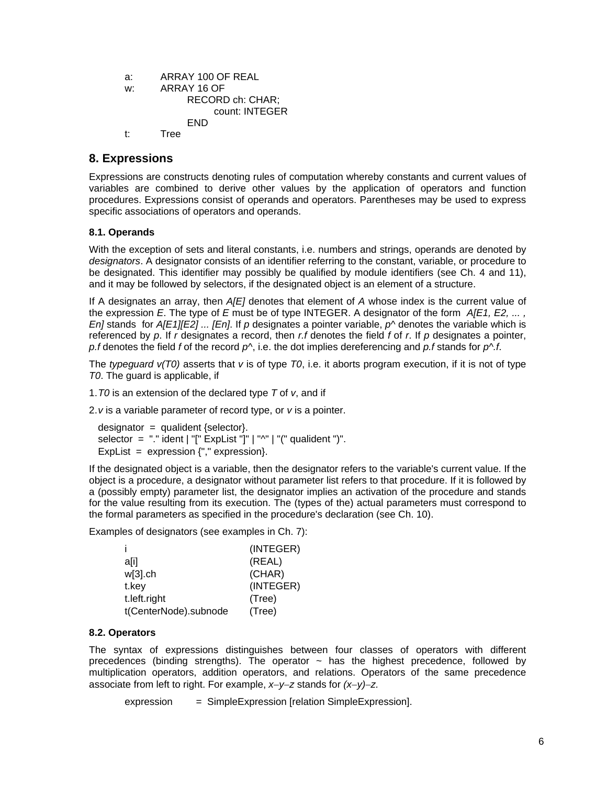```
a: ARRAY 100 OF REAL 
w: ARRAY 16 OF 
            RECORD ch: CHAR; 
                 count: INTEGER 
            END 
t: Tree
```
# **8. Expressions**

Expressions are constructs denoting rules of computation whereby constants and current values of variables are combined to derive other values by the application of operators and function procedures. Expressions consist of operands and operators. Parentheses may be used to express specific associations of operators and operands.

# **8.1. Operands**

With the exception of sets and literal constants, i.e. numbers and strings, operands are denoted by *designators*. A designator consists of an identifier referring to the constant, variable, or procedure to be designated. This identifier may possibly be qualified by module identifiers (see Ch. 4 and 11), and it may be followed by selectors, if the designated object is an element of a structure.

If A designates an array, then *A[E]* denotes that element of *A* whose index is the current value of the expression *E*. The type of *E* must be of type INTEGER. A designator of the form *A[E1, E2, ... , En]* stands for *A[E1][E2] ... [En]*. If *p* designates a pointer variable, *p^* denotes the variable which is referenced by *p*. If *r* designates a record, then *r.f* denotes the field *f* of *r*. If *p* designates a pointer, *p.f* denotes the field *f* of the record *p^*, i.e. the dot implies dereferencing and *p.f* stands for *p^.f*.

The *typeguard v(T0)* asserts that *v* is of type *T0*, i.e. it aborts program execution, if it is not of type *T0*. The guard is applicable, if

1. *T0* is an extension of the declared type *T* of *v*, and if

2. *v* is a variable parameter of record type, or *v* is a pointer.

```
designator = qualident {selector}.selector = "." ident | "[" ExpList "]" | "^" | "(" qualident ")".
ExpList = expression {"," expression }.
```
If the designated object is a variable, then the designator refers to the variable's current value. If the object is a procedure, a designator without parameter list refers to that procedure. If it is followed by a (possibly empty) parameter list, the designator implies an activation of the procedure and stands for the value resulting from its execution. The (types of the) actual parameters must correspond to the formal parameters as specified in the procedure's declaration (see Ch. 10).

Examples of designators (see examples in Ch. 7):

|                       | (INTEGER) |
|-----------------------|-----------|
| a[i]                  | (REAL)    |
| $w[3]$ .ch            | (CHAR)    |
| t.key                 | (INTEGER) |
| t.left.right          | (Tree)    |
| t(CenterNode).subnode | (Tree)    |

### **8.2. Operators**

The syntax of expressions distinguishes between four classes of operators with different precedences (binding strengths). The operator  $\sim$  has the highest precedence, followed by multiplication operators, addition operators, and relations. Operators of the same precedence associate from left to right. For example, *x*−*y*−*z* stands for *(x*−*y)*−*z.*

expression = SimpleExpression [relation SimpleExpression].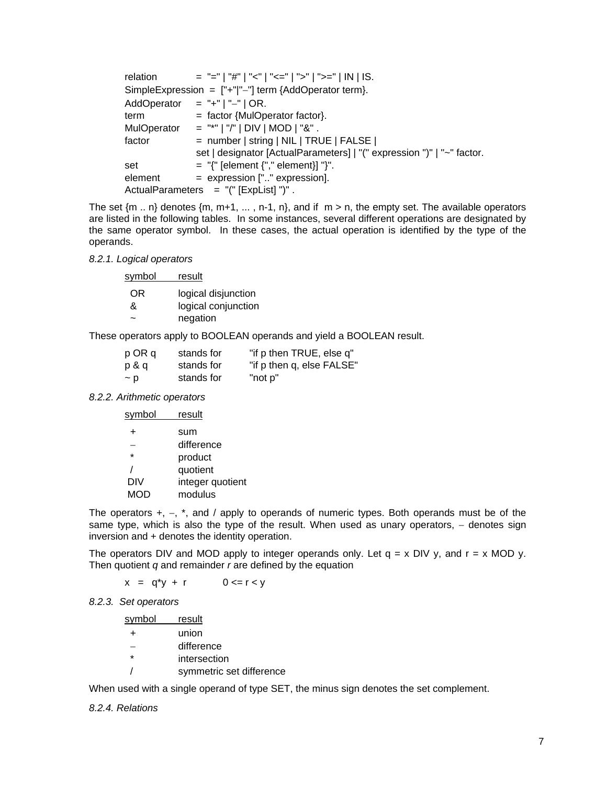| relation    | $=$ "="   "#"   "<"   "<="   ">"   ">="   IN   IS.                     |
|-------------|------------------------------------------------------------------------|
|             | SimpleExpression = $["+"]"$ term {AddOperator term}.                   |
|             | AddOperator = $+$ "   "-"   OR.                                        |
| term        | $=$ factor {MulOperator factor}.                                       |
| MulOperator | $=$ "*"   "/"   DIV   MOD   "&".                                       |
| factor      | = number   string   NIL   TRUE   FALSE                                 |
|             | set   designator [ActualParameters]   "(" expression ")"   "~" factor. |
| set         | $=$ "{" [element {"," element}] "}".                                   |
| element     | = expression ["" expression].                                          |
|             | ActualParameters $=$ "(" [ExpList] ")".                                |

The set  ${m \dots n}$  denotes  ${m, m+1, \dots, n-1, n}$ , and if  $m > n$ , the empty set. The available operators are listed in the following tables. In some instances, several different operations are designated by the same operator symbol. In these cases, the actual operation is identified by the type of the operands.

#### *8.2.1. Logical operators*

| <u>symbol</u> | result                          |
|---------------|---------------------------------|
| OR<br>&       | logical disjunction             |
|               | logical conjunction<br>negation |

These operators apply to BOOLEAN operands and yield a BOOLEAN result.

| p OR q   | stands for | "if p then TRUE, else q"  |
|----------|------------|---------------------------|
| p & q    | stands for | "if p then q, else FALSE" |
| $\sim$ p | stands for | "not p"                   |

### *8.2.2. Arithmetic operators*

| symbol     | result           |
|------------|------------------|
|            | sum              |
|            | difference       |
| $\star$    | product          |
|            | quotient         |
| DIV        | integer quotient |
| <b>MOD</b> | modulus          |
|            |                  |

The operators +, −, \*, and / apply to operands of numeric types. Both operands must be of the same type, which is also the type of the result. When used as unary operators, – denotes sign inversion and + denotes the identity operation.

The operators DIV and MOD apply to integer operands only. Let  $q = x$  DIV y, and  $r = x$  MOD y. Then quotient *q* and remainder *r* are defined by the equation

 $x = q^*y + r$  0 <= r < y

#### *8.2.3. Set operators*

| svmbol  | result                   |
|---------|--------------------------|
| $\pm$   | union                    |
|         | difference               |
| $\star$ | intersection             |
|         | symmetric set difference |

When used with a single operand of type SET, the minus sign denotes the set complement.

### *8.2.4. Relations*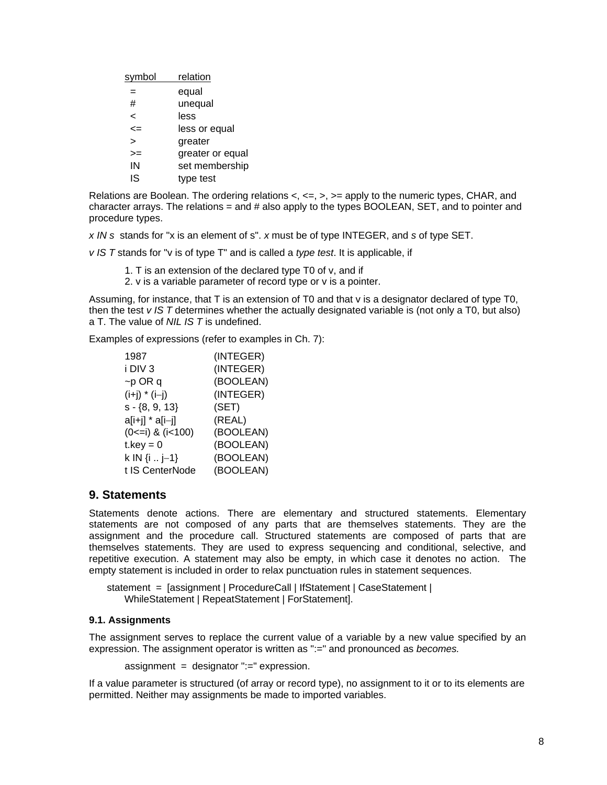| symbol | relation         |
|--------|------------------|
|        | equal            |
| #      | unequal          |
| <      | less             |
| <=     | less or equal    |
| ↘      | greater          |
| >=     | greater or equal |
| IN     | set membership   |
| IS     | type test        |

Relations are Boolean. The ordering relations  $\lt$ ,  $\lt$  =,  $\gt$ ,  $\gt$  = apply to the numeric types, CHAR, and character arrays. The relations  $=$  and  $\#$  also apply to the types BOOLEAN, SET, and to pointer and procedure types.

*x IN s* stands for "x is an element of s". *x* must be of type INTEGER, and *s* of type SET.

*v IS T* stands for "v is of type T" and is called a *type test*. It is applicable, if

- 1. T is an extension of the declared type T0 of v, and if
- 2. v is a variable parameter of record type or v is a pointer.

Assuming, for instance, that T is an extension of T0 and that v is a designator declared of type T0, then the test *v IS T* determines whether the actually designated variable is (not only a T0, but also) a T. The value of *NIL IS T* is undefined.

Examples of expressions (refer to examples in Ch. 7):

| 1987                        | (INTEGER) |
|-----------------------------|-----------|
| i DIV <sub>3</sub>          | (INTEGER) |
| $\neg p$ OR q               | (BOOLEAN) |
| $(i+j) * (i-j)$             | (INTEGER) |
| $s - \{8, 9, 13\}$          | (SET)     |
| a[i+j] * a[i-j]             | (REAL)    |
| $(0 \le i)$ & $(i \le 100)$ | (BOOLEAN) |
| $t.$ key = 0                | (BOOLEAN) |
| k IN $\{i : j-1\}$          | (BOOLEAN) |
| t IS CenterNode             | (BOOLEAN) |

# **9. Statements**

Statements denote actions. There are elementary and structured statements. Elementary statements are not composed of any parts that are themselves statements. They are the assignment and the procedure call. Structured statements are composed of parts that are themselves statements. They are used to express sequencing and conditional, selective, and repetitive execution. A statement may also be empty, in which case it denotes no action. The empty statement is included in order to relax punctuation rules in statement sequences.

statement = [assignment | ProcedureCall | IfStatement | CaseStatement | WhileStatement | RepeatStatement | ForStatement].

### **9.1. Assignments**

The assignment serves to replace the current value of a variable by a new value specified by an expression. The assignment operator is written as ":=" and pronounced as *becomes.*

 $assignment = designation$ :=" expression.

If a value parameter is structured (of array or record type), no assignment to it or to its elements are permitted. Neither may assignments be made to imported variables.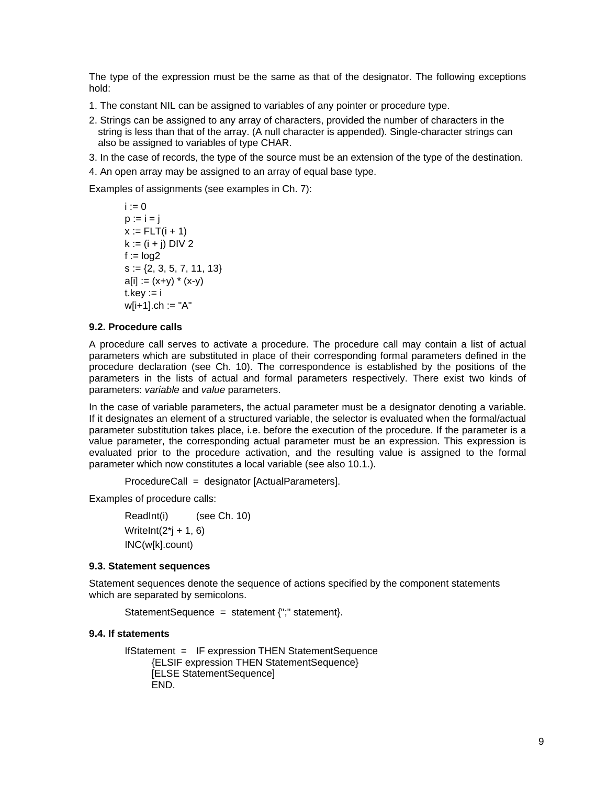The type of the expression must be the same as that of the designator. The following exceptions hold:

- 1. The constant NIL can be assigned to variables of any pointer or procedure type.
- 2. Strings can be assigned to any array of characters, provided the number of characters in the string is less than that of the array. (A null character is appended). Single-character strings can also be assigned to variables of type CHAR.
- 3. In the case of records, the type of the source must be an extension of the type of the destination.
- 4. An open array may be assigned to an array of equal base type.

Examples of assignments (see examples in Ch. 7):

```
i := 0p := i = jx := FLT(i + 1)k := (i + i) DIV 2
f := log2s := \{2, 3, 5, 7, 11, 13\}a[i] := (x+y) * (x-y)t.kev := iw[i+1].ch := "A"
```
#### **9.2. Procedure calls**

A procedure call serves to activate a procedure. The procedure call may contain a list of actual parameters which are substituted in place of their corresponding formal parameters defined in the procedure declaration (see Ch. 10). The correspondence is established by the positions of the parameters in the lists of actual and formal parameters respectively. There exist two kinds of parameters: *variable* and *value* parameters.

In the case of variable parameters, the actual parameter must be a designator denoting a variable. If it designates an element of a structured variable, the selector is evaluated when the formal/actual parameter substitution takes place, i.e. before the execution of the procedure. If the parameter is a value parameter, the corresponding actual parameter must be an expression. This expression is evaluated prior to the procedure activation, and the resulting value is assigned to the formal parameter which now constitutes a local variable (see also 10.1.).

ProcedureCall = designator [ActualParameters].

Examples of procedure calls:

ReadInt(i) (see Ch. 10) WriteInt $(2^*$ j + 1, 6) INC(w[k].count)

### **9.3. Statement sequences**

Statement sequences denote the sequence of actions specified by the component statements which are separated by semicolons.

StatementSequence = statement {";" statement}.

#### **9.4. If statements**

```
IfStatement = IF expression THEN StatementSequence 
      {ELSIF expression THEN StatementSequence} 
      [ELSE StatementSequence] 
      END.
```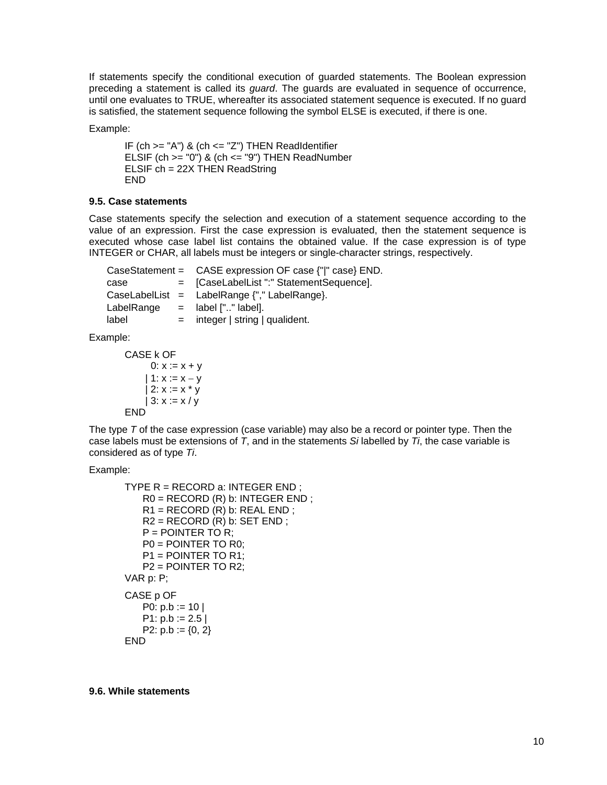If statements specify the conditional execution of guarded statements. The Boolean expression preceding a statement is called its *guard*. The guards are evaluated in sequence of occurrence, until one evaluates to TRUE, whereafter its associated statement sequence is executed. If no guard is satisfied, the statement sequence following the symbol ELSE is executed, if there is one.

Example:

IF (ch  $>=$  "A") & (ch  $<=$  "Z") THEN ReadIdentifier ELSIF (ch  $>=$  "0") & (ch  $<=$  "9") THEN ReadNumber ELSIF ch = 22X THEN ReadString END

### **9.5. Case statements**

Case statements specify the selection and execution of a statement sequence according to the value of an expression. First the case expression is evaluated, then the statement sequence is executed whose case label list contains the obtained value. If the case expression is of type INTEGER or CHAR, all labels must be integers or single-character strings, respectively.

|       | CaseStatement = $\angle$ CASE expression OF case $\{\Vert$ " case $\}$ END. |
|-------|-----------------------------------------------------------------------------|
| case  | = [CaseLabelList ":" StatementSequence].                                    |
|       | CaseLabelList = LabelRange $\{$ "," LabelRange $\}$ .                       |
|       | LabelRange $=$ label $[$ "" label].                                         |
| label | $=$ integer   string   qualident.                                           |

Example:

```
CASE k OF 
     0: x := x + y| 1: x := x - y| 2: x := x * y| 3: x := x / yFND
```
The type *T* of the case expression (case variable) may also be a record or pointer type. Then the case labels must be extensions of *T*, and in the statements *Si* labelled by *Ti*, the case variable is considered as of type *Ti*.

Example:

```
TYPE R = RECORD a: INTEGER END ; 
    R0 = RECORD (R) b: INTEGER END ; 
   R1 = RECORD (R) b: REAL END;R2 = RECORD (R) b: SET END;P = POINTER TO R;
    P0 = POINTER TO R0; 
    P1 = POINTER TO R1; 
    P2 = POINTER TO R2; 
VAR p: P; 
CASE p OF 
   P0: p.b := 10 |
   P1: p.b := 2.5P2: p.b := \{0, 2\}END
```
**9.6. While statements**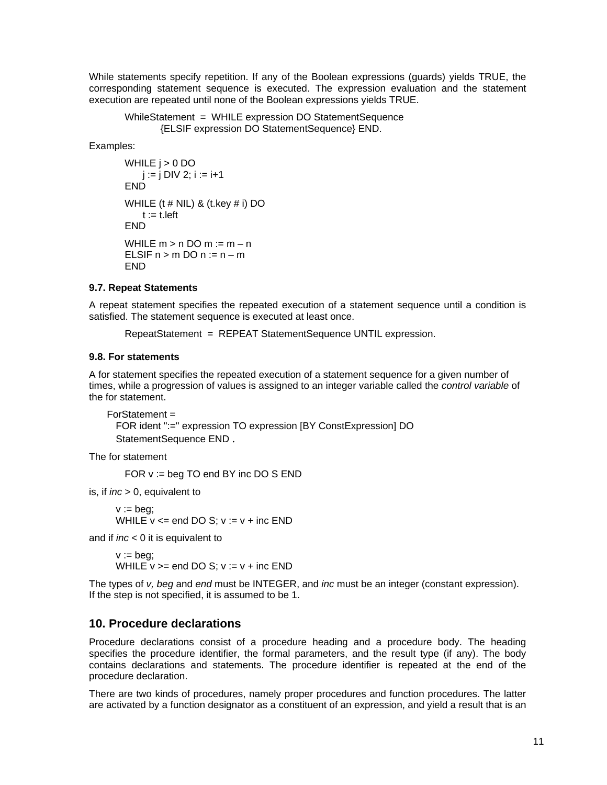While statements specify repetition. If any of the Boolean expressions (guards) yields TRUE, the corresponding statement sequence is executed. The expression evaluation and the statement execution are repeated until none of the Boolean expressions yields TRUE.

```
 WhileStatement = WHILE expression DO StatementSequence 
       {ELSIF expression DO StatementSequence} END.
```
Examples:

```
WHILE i > 0 DO
   j := j DIV 2; i := i + 1END
WHILE (t # NIL) & (t.key # i) DO
   t := t. left
END 
WHILE m > n DO m = m - nELSIF n > m DO n := n - mEND
```
### **9.7. Repeat Statements**

A repeat statement specifies the repeated execution of a statement sequence until a condition is satisfied. The statement sequence is executed at least once.

RepeatStatement = REPEAT StatementSequence UNTIL expression.

### **9.8. For statements**

A for statement specifies the repeated execution of a statement sequence for a given number of times, while a progression of values is assigned to an integer variable called the *control variable* of the for statement.

```
For Statement = FOR ident ":=" expression TO expression [BY ConstExpression] DO 
  StatementSequence END .
```
The for statement

FOR v := beg TO end BY inc DO S END

is, if *inc* > 0, equivalent to

```
v := \text{beq}:
WHILE v \le end DO S; v := v + inc END
```
and if *inc* < 0 it is equivalent to

 $v := \text{bea}:$ WHILE  $v ==$  end DO S;  $v := v + inc$  END

The types of *v, beg* and *end* must be INTEGER, and *inc* must be an integer (constant expression). If the step is not specified, it is assumed to be 1.

# **10. Procedure declarations**

Procedure declarations consist of a procedure heading and a procedure body. The heading specifies the procedure identifier, the formal parameters, and the result type (if any). The body contains declarations and statements. The procedure identifier is repeated at the end of the procedure declaration.

There are two kinds of procedures, namely proper procedures and function procedures. The latter are activated by a function designator as a constituent of an expression, and yield a result that is an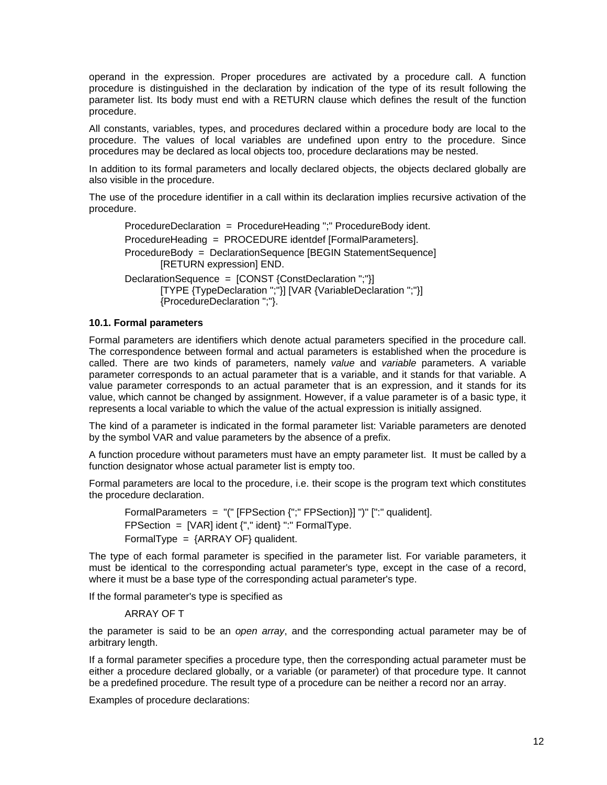operand in the expression. Proper procedures are activated by a procedure call. A function procedure is distinguished in the declaration by indication of the type of its result following the parameter list. Its body must end with a RETURN clause which defines the result of the function procedure.

All constants, variables, types, and procedures declared within a procedure body are local to the procedure. The values of local variables are undefined upon entry to the procedure. Since procedures may be declared as local objects too, procedure declarations may be nested.

In addition to its formal parameters and locally declared objects, the objects declared globally are also visible in the procedure.

The use of the procedure identifier in a call within its declaration implies recursive activation of the procedure.

ProcedureDeclaration = ProcedureHeading ";" ProcedureBody ident. ProcedureHeading = PROCEDURE identdef [FormalParameters]. ProcedureBody = DeclarationSequence [BEGIN StatementSequence] [RETURN expression] END. DeclarationSequence = [CONST {ConstDeclaration ";"}] [TYPE {TypeDeclaration ";"}] [VAR {VariableDeclaration ";"}] {ProcedureDeclaration ";"}.

#### **10.1. Formal parameters**

Formal parameters are identifiers which denote actual parameters specified in the procedure call. The correspondence between formal and actual parameters is established when the procedure is called. There are two kinds of parameters, namely *value* and *variable* parameters. A variable parameter corresponds to an actual parameter that is a variable, and it stands for that variable. A value parameter corresponds to an actual parameter that is an expression, and it stands for its value, which cannot be changed by assignment. However, if a value parameter is of a basic type, it represents a local variable to which the value of the actual expression is initially assigned.

The kind of a parameter is indicated in the formal parameter list: Variable parameters are denoted by the symbol VAR and value parameters by the absence of a prefix.

A function procedure without parameters must have an empty parameter list. It must be called by a function designator whose actual parameter list is empty too.

Formal parameters are local to the procedure, i.e. their scope is the program text which constitutes the procedure declaration.

FormalParameters = "(" [FPSection {";" FPSection}] ")" [":" qualident]. FPSection =  $[VAR]$  ident  ${", "$  ident $}$   $" : "$  FormalType. FormalType =  ${ARRAY OF}$  qualident.

The type of each formal parameter is specified in the parameter list. For variable parameters, it must be identical to the corresponding actual parameter's type, except in the case of a record, where it must be a base type of the corresponding actual parameter's type.

If the formal parameter's type is specified as

#### ARRAY OF T

the parameter is said to be an *open array*, and the corresponding actual parameter may be of arbitrary length.

If a formal parameter specifies a procedure type, then the corresponding actual parameter must be either a procedure declared globally, or a variable (or parameter) of that procedure type. It cannot be a predefined procedure. The result type of a procedure can be neither a record nor an array.

Examples of procedure declarations: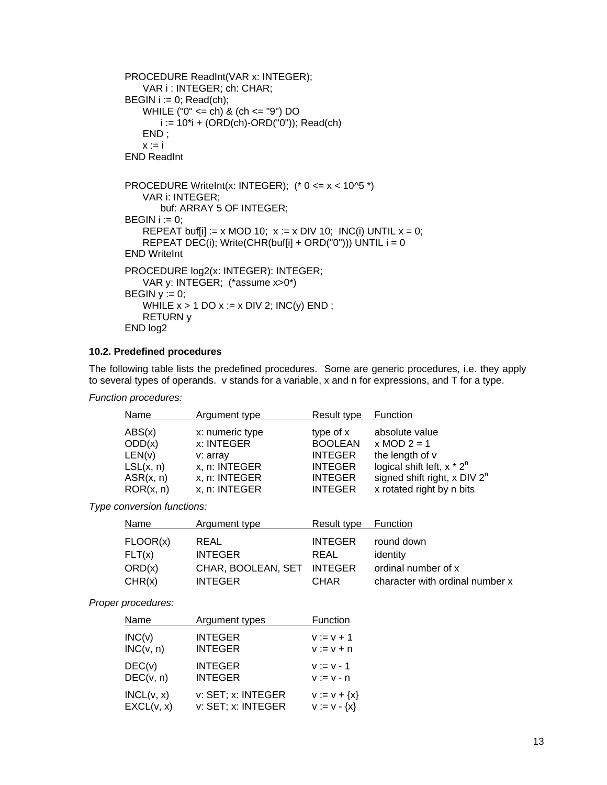```
PROCEDURE ReadInt(VAR x: INTEGER); 
    VAR i : INTEGER; ch: CHAR; 
BEGIN i := 0; Read(ch);
    WHILE ("0" <= ch) & (ch <= "9") DO 
       i := 10^*i + (ORD(ch)-ORD("0")); Read(ch)
    END ; 
   x := iEND ReadInt 
PROCEDURE WriteInt(x: INTEGER); (^* 0 <= x < 10^5 ^*)VAR i: INTEGER; 
       buf: ARRAY 5 OF INTEGER; 
BEGIN i := 0:
   REPEAT buf[i] := x MOD 10; x := x DIV 10; INC(i) UNTIL x = 0;
   REPEAT DEC(i); Write(CHR(buf[i] + ORD("0"))) UNTIL i = 0END WriteInt 
PROCEDURE log2(x: INTEGER): INTEGER; 
    VAR y: INTEGER; (*assume x>0*) 
BEGIN y := 0;
   WHILE x > 1 DO x := x DIV 2; INC(y) END;
    RETURN y 
END log2
```
# **10.2. Predefined procedures**

The following table lists the predefined procedures. Some are generic procedures, i.e. they apply to several types of operands. v stands for a variable, x and n for expressions, and T for a type.

*Function procedures:* 

| Name      | Argument type   | Result type    | Function                       |
|-----------|-----------------|----------------|--------------------------------|
| ABS(x)    | x: numeric type | type of x      | absolute value                 |
| ODD(x)    | x: INTEGER      | <b>BOOLEAN</b> | $x \text{ MOD } 2 = 1$         |
| LEN(v)    | v: array        | <b>INTEGER</b> | the length of v                |
| LSL(x, n) | x, n: INTEGER   | <b>INTEGER</b> | logical shift left, $x * 2^n$  |
| ASR(x, n) | x, n: INTEGER   | <b>INTEGER</b> | signed shift right, x $DIV 2n$ |
| ROR(x, n) | x, n: INTEGER   | <b>INTEGER</b> | x rotated right by n bits      |

*Type conversion functions:* 

| Name     | Argument type              | Result type    | Function                        |
|----------|----------------------------|----------------|---------------------------------|
| FLOOR(x) | REAL                       | <b>INTEGER</b> | round down                      |
| FLT(x)   | <b>INTEGER</b>             | REAL           | identity                        |
| ORD(x)   | CHAR, BOOLEAN, SET INTEGER |                | ordinal number of x             |
| CHR(x)   | <b>INTEGER</b>             | <b>CHAR</b>    | character with ordinal number x |

### *Proper procedures:*

| Name       | Argument types     | Function         |
|------------|--------------------|------------------|
| INC(v)     | <b>INTEGER</b>     | $v := v + 1$     |
| INC(v, n)  | <b>INTEGER</b>     | $V := V + n$     |
| DEC(v)     | <b>INTEGER</b>     | $v := v - 1$     |
| DEC(v, n)  | <b>INTEGER</b>     | $V := V - n$     |
| INCL(v, x) | v: SET; x: INTEGER | $V := V + \{X\}$ |
| EXCL(v, x) | v: SET; x: INTEGER | $V := V - {X}$   |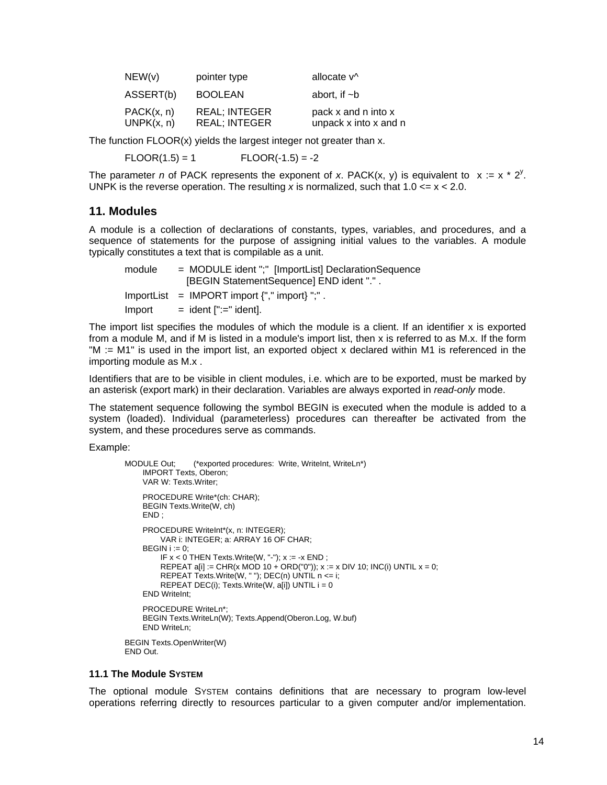| NEW(v)                   | pointer type                                 | allocate v <sup>^</sup>                      |
|--------------------------|----------------------------------------------|----------------------------------------------|
| ASSERT(b)                | <b>BOOLEAN</b>                               | abort. if $\neg$ b                           |
| PACK(x, n)<br>UNPK(x, n) | <b>REAL: INTEGER</b><br><b>REAL; INTEGER</b> | pack x and n into x<br>unpack x into x and n |

The function FLOOR(x) yields the largest integer not greater than x.

 $FLOOR(1.5) = 1$   $FLOOR(-1.5) = -2$ 

The parameter *n* of PACK represents the exponent of *x*. PACK(x, y) is equivalent to  $x := x * 2^y$ . UNPK is the reverse operation. The resulting x is normalized, such that  $1.0 \le x \le 2.0$ .

# **11. Modules**

A module is a collection of declarations of constants, types, variables, and procedures, and a sequence of statements for the purpose of assigning initial values to the variables. A module typically constitutes a text that is compilable as a unit.

| module | $=$ MODULE ident ";" [ImportList] DeclarationSequence<br>[BEGIN StatementSequence] END ident ".". |
|--------|---------------------------------------------------------------------------------------------------|
|        | $ImportList = IMPORT import \{", " import}\$ ",".                                                 |
| Import | $=$ ident $[$ ":=" ident].                                                                        |

The import list specifies the modules of which the module is a client. If an identifier x is exported from a module M, and if M is listed in a module's import list, then x is referred to as M.x. If the form "M := M1" is used in the import list, an exported object x declared within M1 is referenced in the importing module as M.x .

Identifiers that are to be visible in client modules, i.e. which are to be exported, must be marked by an asterisk (export mark) in their declaration. Variables are always exported in *read-only* mode.

The statement sequence following the symbol BEGIN is executed when the module is added to a system (loaded). Individual (parameterless) procedures can thereafter be activated from the system, and these procedures serve as commands.

Example:

```
MODULE Out; (*exported procedures: Write, WriteInt, WriteLn*)
     IMPORT Texts, Oberon; 
     VAR W: Texts.Writer; 
     PROCEDURE Write*(ch: CHAR); 
     BEGIN Texts.Write(W, ch) 
     END ; 
    PROCEDURE WriteInt*(x, n: INTEGER);
          VAR i: INTEGER; a: ARRAY 16 OF CHAR; 
    BEGIN i := 0;
         IF x < 0 THEN Texts. Write (W, "-"); x := -x END;
REPEAT a[i] := CHR(x MOD 10 + ORD("0")); x = x DIV 10; INC(i) UNTIL x = 0;
 REPEAT Texts.Write(W, " "); DEC(n) UNTIL n <= i; 
 REPEAT DEC(i); Texts.Write(W, a[i]) UNTIL i = 0 
     END WriteInt; 
     PROCEDURE WriteLn*; 
     BEGIN Texts.WriteLn(W); Texts.Append(Oberon.Log, W.buf) 
     END WriteLn; 
BEGIN Texts.OpenWriter(W) 
END Out.
```
### **11.1 The Module SYSTEM**

The optional module SYSTEM contains definitions that are necessary to program low-level operations referring directly to resources particular to a given computer and/or implementation.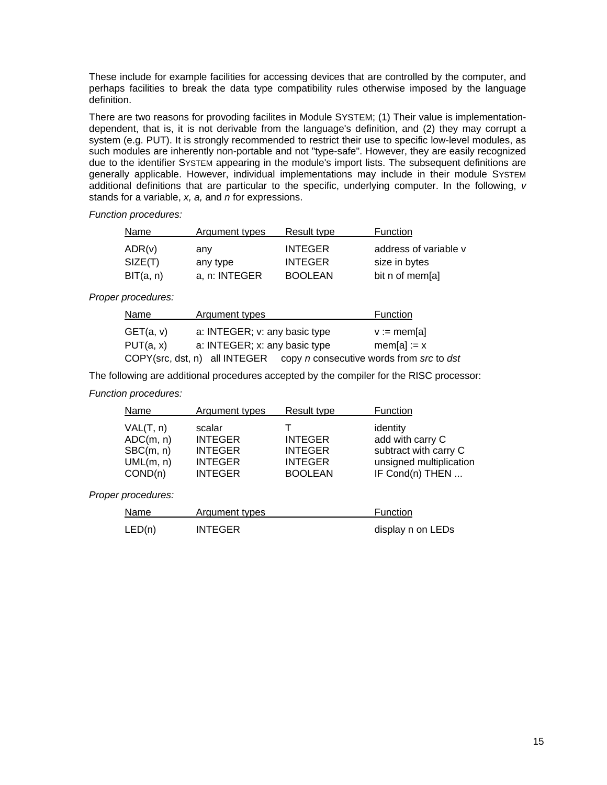These include for example facilities for accessing devices that are controlled by the computer, and perhaps facilities to break the data type compatibility rules otherwise imposed by the language definition.

There are two reasons for provoding facilites in Module SYSTEM; (1) Their value is implementationdependent, that is, it is not derivable from the language's definition, and (2) they may corrupt a system (e.g. PUT). It is strongly recommended to restrict their use to specific low-level modules, as such modules are inherently non-portable and not "type-safe". However, they are easily recognized due to the identifier SYSTEM appearing in the module's import lists. The subsequent definitions are generally applicable. However, individual implementations may include in their module SYSTEM additional definitions that are particular to the specific, underlying computer. In the following, *v* stands for a variable, *x, a,* and *n* for expressions.

*Function procedures:* 

| Name      | Argument types | Result type    | Function              |
|-----------|----------------|----------------|-----------------------|
| ADR(v)    | any            | <b>INTEGER</b> | address of variable v |
| SIZE(T)   | any type       | <b>INTEGER</b> | size in bytes         |
| BIT(a, n) | a, n: INTEGER  | <b>BOOLEAN</b> | bit n of mem[a]       |

# *Proper procedures:*

| Name      | Argument types                                                                | Function             |
|-----------|-------------------------------------------------------------------------------|----------------------|
| GET(a, v) | a: INTEGER; v: any basic type                                                 | $v := \text{mem}[a]$ |
| PUT(a, x) | a: INTEGER; x: any basic type                                                 | $mem[a] := x$        |
|           | COPY(src, dst, n) all INTEGER copy <i>n</i> consecutive words from src to dst |                      |

The following are additional procedures accepted by the compiler for the RISC processor:

# *Function procedures:*

| Name                                                        | Argument types                                                                 | Result type                                                          | Function                                                                                            |
|-------------------------------------------------------------|--------------------------------------------------------------------------------|----------------------------------------------------------------------|-----------------------------------------------------------------------------------------------------|
| VAL(T, n)<br>ADC(m, n)<br>B C(m, n)<br>UML(m, n)<br>COND(n) | scalar<br><b>INTEGER</b><br><b>INTEGER</b><br><b>INTEGER</b><br><b>INTEGER</b> | <b>INTEGER</b><br><b>INTEGER</b><br><b>INTEGER</b><br><b>BOOLEAN</b> | identity<br>add with carry C<br>subtract with carry C<br>unsigned multiplication<br>IF Cond(n) THEN |

### *Proper procedures:*

| Name   | Argument types | Function          |
|--------|----------------|-------------------|
| LED(n) | <b>INTEGER</b> | display n on LEDs |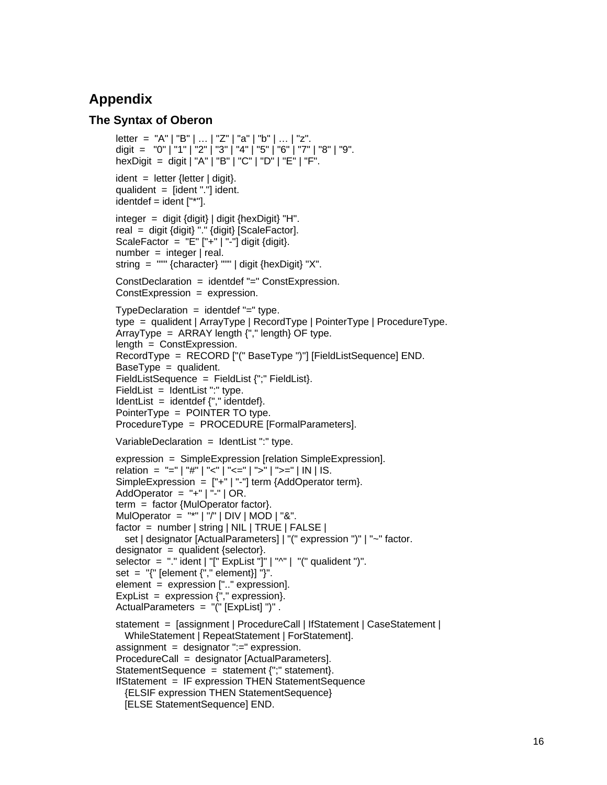# **Appendix**

# **The Syntax of Oberon**

```
letter = "A" | "B" | ... | "Z" | "a" | "b" | ... | "z".digit = "0" | "1" | "2" | "3" | "4" | "5" | "6" | "7" | "8" | "9". 
hexDigit = digit | "A" | "B" | "C" | "D" | "E" | "F".
ident = letter {letter | digit}.
qualident = \left[ident "."\right] ident.
identdef = ident [""].integer = digit {digit} | digit {hexDigit} "H". 
real = digit {digit} "." {digit} [ScaleFactor]. 
ScaleFactor = "E" ['++" ['--"] digit {digit}.number = integer | real.string = """ {character} """ | digit {hexDigit} "X". 
ConstDeclaration = identdef "=" ConstExpression. 
ConstExpression = expression. 
TypeDeclaration = identdef "=" type.
type = qualident | ArrayType | RecordType | PointerType | ProcedureType. 
ArrayType = ARRAY length {", " length} OF type.
length = ConstExpression.
RecordType = RECORD ["(" BaseType ")"] [FieldListSequence] END. 
BaseType = qualifiedent.
FieldListSequence = FieldList {";" FieldList}. 
FieldList = IdentList ":" type.IdentList = identdef {"," identdef}.
PointerType = POINTER TO type. 
ProcedureType = PROCEDURE [FormalParameters]. 
VariableDeclaration = IdentList ":" type. 
expression = SimpleExpression [relation SimpleExpression]. 
relation = "=" | "#" | "<" | "<=" | ">" | ">=" | IN | IS.
SimpleExpression = ['+"] "-"] term {AddOperator term}.
AddOperator = "+" | "-" | OR.
term = factor {MulOperator factor}. 
MulOperator = "*" | "/" | DIV | MOD | "&".
factor = number | string | NIL | TRUE | FALSE | 
   set | designator [ActualParameters] | "(" expression ")" | "~" factor. 
designator = qualident {selector}.
selector = "." ident | "[" ExpList "]" | "^" | "(" qualident ")".
set = \sqrt{T} [element \{\sqrt{T}, \sqrt{T}\} element}] \sqrt{T}.
element = expression [".." expression]. 
ExpList = expression {"," expression }.
ActualParameters = "(" [ExpList] ")" . 
statement = [assignment | ProcedureCall | IfStatement | CaseStatement | 
   WhileStatement | RepeatStatement | ForStatement]. 
assignment = designator ":=" expression.
ProcedureCall = designator [ActualParameters]. 
StatementSequence = statement {";" statement}. 
IfStatement = IF expression THEN StatementSequence 
   {ELSIF expression THEN StatementSequence} 
   [ELSE StatementSequence] END.
```